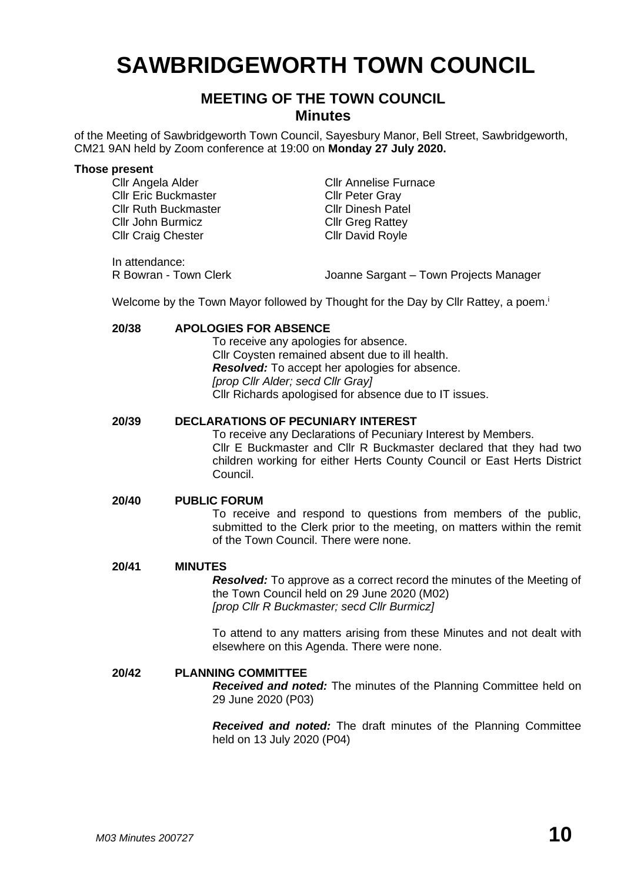# **SAWBRIDGEWORTH TOWN COUNCIL**

## **MEETING OF THE TOWN COUNCIL Minutes**

of the Meeting of Sawbridgeworth Town Council, Sayesbury Manor, Bell Street, Sawbridgeworth, CM21 9AN held by Zoom conference at 19:00 on **Monday 27 July 2020.**

#### **Those present**

| Cllr Angela Alder           | <b>CIIr Annelise Furnace</b>           |
|-----------------------------|----------------------------------------|
| <b>Cllr Eric Buckmaster</b> | <b>Cllr Peter Gray</b>                 |
| <b>Cllr Ruth Buckmaster</b> | <b>Cllr Dinesh Patel</b>               |
| Cllr John Burmicz           | <b>Cllr Greg Rattey</b>                |
| <b>Cllr Craig Chester</b>   | <b>CIIr David Royle</b>                |
|                             |                                        |
| In attendance:              |                                        |
| R Bowran - Town Clerk       | Joanne Sargant - Town Projects Manager |

Welcome by the Town Mayor followed by Thought for the Day by Cllr Rattey, a poem.

## **20/38 APOLOGIES FOR ABSENCE**

To receive any apologies for absence. Cllr Coysten remained absent due to ill health. *Resolved:* To accept her apologies for absence. *[prop Cllr Alder; secd Cllr Gray]* Cllr Richards apologised for absence due to IT issues.

#### **20/39 DECLARATIONS OF PECUNIARY INTEREST**

To receive any Declarations of Pecuniary Interest by Members. Cllr E Buckmaster and Cllr R Buckmaster declared that they had two children working for either Herts County Council or East Herts District Council.

#### **20/40 PUBLIC FORUM**

To receive and respond to questions from members of the public, submitted to the Clerk prior to the meeting, on matters within the remit of the Town Council. There were none.

#### **20/41 MINUTES**

*Resolved:* To approve as a correct record the minutes of the Meeting of the Town Council held on 29 June 2020 (M02) *[prop Cllr R Buckmaster; secd Cllr Burmicz]*

To attend to any matters arising from these Minutes and not dealt with elsewhere on this Agenda. There were none.

#### **20/42 PLANNING COMMITTEE**

*Received and noted:* The minutes of the Planning Committee held on 29 June 2020 (P03)

*Received and noted:* The draft minutes of the Planning Committee held on 13 July 2020 (P04)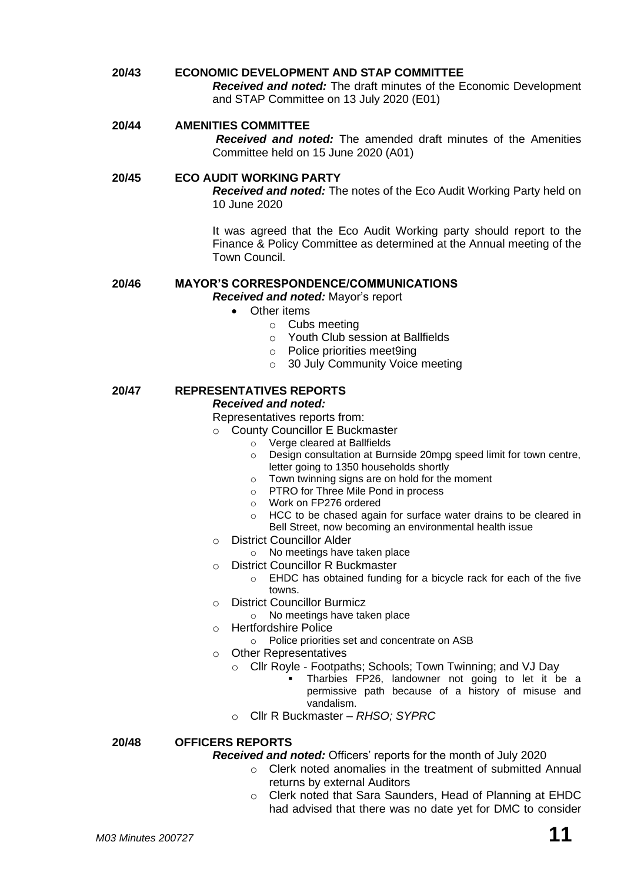**20/43 ECONOMIC DEVELOPMENT AND STAP COMMITTEE** *Received and noted:* The draft minutes of the Economic Development and STAP Committee on 13 July 2020 (E01) **20/44 AMENITIES COMMITTEE**

*Received and noted:* The amended draft minutes of the Amenities Committee held on 15 June 2020 (A01)

**20/45 ECO AUDIT WORKING PARTY** *Received and noted:* The notes of the Eco Audit Working Party held on 10 June 2020

> It was agreed that the Eco Audit Working party should report to the Finance & Policy Committee as determined at the Annual meeting of the Town Council.

#### **20/46 MAYOR'S CORRESPONDENCE/COMMUNICATIONS** *Received and noted:* Mayor's report

- Other items
	- o Cubs meeting
		- o Youth Club session at Ballfields
		- o Police priorities meet9ing
		- o 30 July Community Voice meeting

#### **20/47 REPRESENTATIVES REPORTS** *Received and noted:*

## Representatives reports from:

- o County Councillor E Buckmaster
	- o Verge cleared at Ballfields
	- o Design consultation at Burnside 20mpg speed limit for town centre, letter going to 1350 households shortly
	- $\circ$  Town twinning signs are on hold for the moment
	- o PTRO for Three Mile Pond in process
	- o Work on FP276 ordered
	- o HCC to be chased again for surface water drains to be cleared in Bell Street, now becoming an environmental health issue
- o District Councillor Alder
	- o No meetings have taken place
- o District Councillor R Buckmaster
	- o EHDC has obtained funding for a bicycle rack for each of the five towns.
- o District Councillor Burmicz
	- o No meetings have taken place
- o Hertfordshire Police
	- o Police priorities set and concentrate on ASB
- o Other Representatives
	- o Cllr Royle Footpaths; Schools; Town Twinning; and VJ Day
		- Tharbies FP26, landowner not going to let it be a permissive path because of a history of misuse and vandalism.
	- o Cllr R Buckmaster *– RHSO; SYPRC*

## **20/48 OFFICERS REPORTS**

*Received and noted:* Officers' reports for the month of July 2020

- o Clerk noted anomalies in the treatment of submitted Annual returns by external Auditors
- o Clerk noted that Sara Saunders, Head of Planning at EHDC had advised that there was no date yet for DMC to consider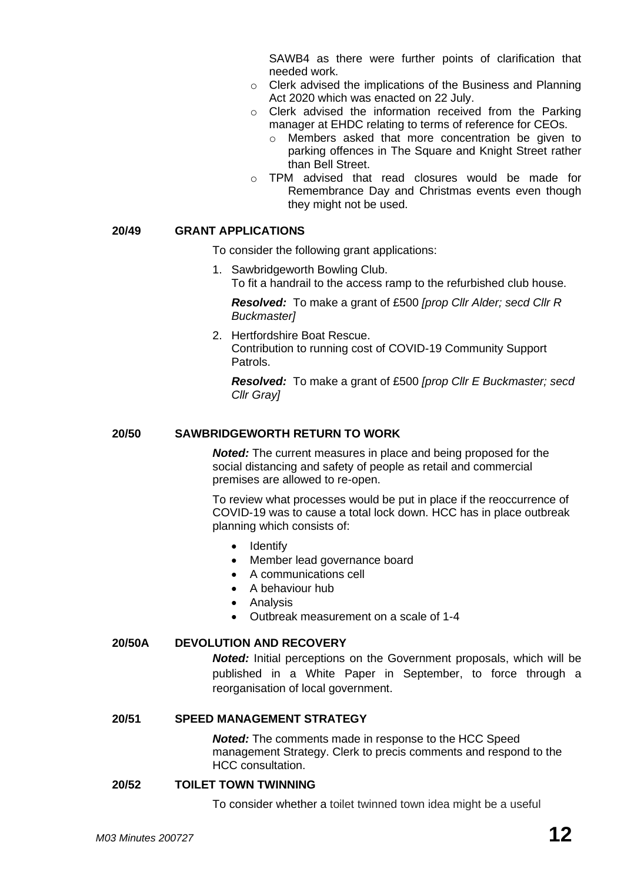SAWB4 as there were further points of clarification that needed work.

- o Clerk advised the implications of the Business and Planning Act 2020 which was enacted on 22 July.
- o Clerk advised the information received from the Parking manager at EHDC relating to terms of reference for CEOs.
	- o Members asked that more concentration be given to parking offences in The Square and Knight Street rather than Bell Street.
- o TPM advised that read closures would be made for Remembrance Day and Christmas events even though they might not be used.

#### **20/49 GRANT APPLICATIONS**

To consider the following grant applications:

1. Sawbridgeworth Bowling Club. To fit a handrail to the access ramp to the refurbished club house.

*Resolved:* To make a grant of £500 *[prop Cllr Alder; secd Cllr R Buckmaster]*

2. Hertfordshire Boat Rescue. Contribution to running cost of COVID-19 Community Support Patrols.

*Resolved:* To make a grant of £500 *[prop Cllr E Buckmaster; secd Cllr Gray]*

## **20/50 SAWBRIDGEWORTH RETURN TO WORK**

*Noted:* The current measures in place and being proposed for the social distancing and safety of people as retail and commercial premises are allowed to re-open.

To review what processes would be put in place if the reoccurrence of COVID-19 was to cause a total lock down. HCC has in place outbreak planning which consists of:

- **Identify**
- Member lead governance board
- A communications cell
- A behaviour hub
- Analysis
- Outbreak measurement on a scale of 1-4

## **20/50A DEVOLUTION AND RECOVERY**

*Noted:* Initial perceptions on the Government proposals, which will be published in a White Paper in September, to force through a reorganisation of local government.

#### **20/51 SPEED MANAGEMENT STRATEGY**

*Noted:* The comments made in response to the HCC Speed management Strategy. Clerk to precis comments and respond to the HCC consultation.

#### **20/52 TOILET TOWN TWINNING**

To consider whether a toilet twinned town idea might be a useful